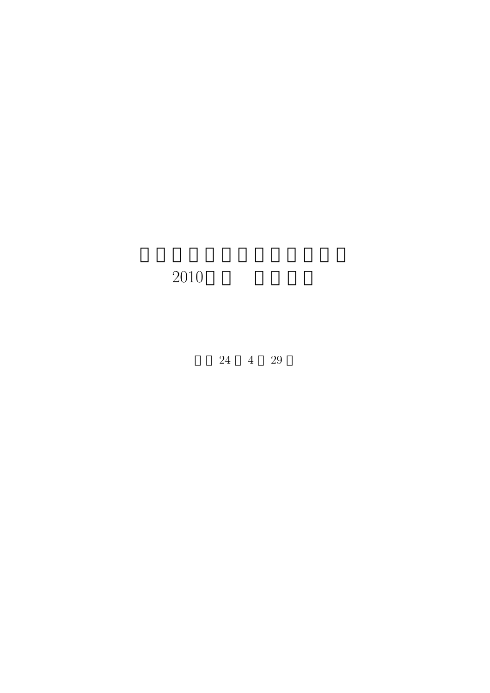$2010$ 

平成 24 4 29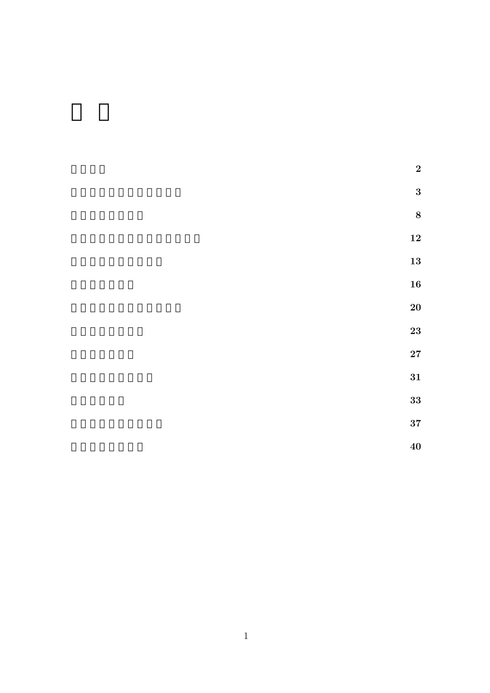| $\overline{2}$          |
|-------------------------|
| $\overline{\mathbf{3}}$ |
| 8                       |
| 12                      |
| 13                      |
| 16                      |
| <b>20</b>               |
| 23                      |
| 27                      |
| 31                      |
| 33                      |
| 37                      |

 $40\,$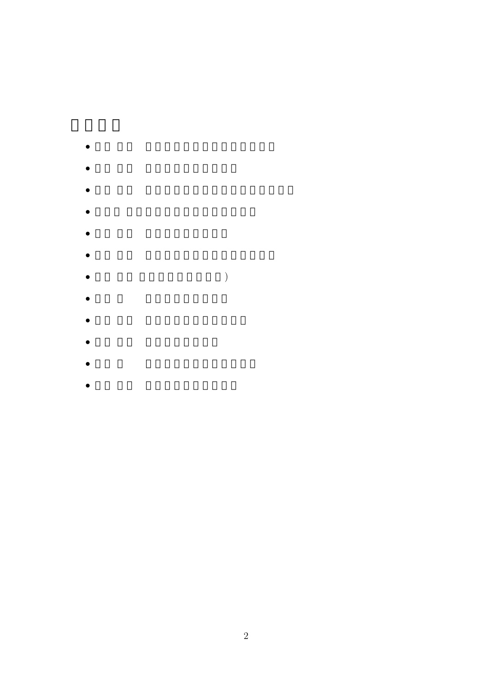## • 太田 信義 (素粒子論・重力理論研究室)

- 加藤 幸弘 (素粒子実験研究室)
- 千川 道幸 (素粒子・極限宇宙物理学研究室)
- 日下部 俊男(原子分子物理学研究室)
- 笠松 健一 (物性理論研究室)
- 堂寺 知成 (ソフトマター物理学研究室)
- $\bullet$   $\qquad \qquad \bullet$   $\qquad \qquad \bullet$
- 近藤 康 (表面科学研究室)
- 松居 哲生 (凝縮系物理学研究室)
- 井上 開輝 (宇宙論研究室)
- $\bullet$  (Fig. ) and (Fig. ) and (Fig. ) and (Fig. ) and (Fig. ) and (Fig. ) and (Fig.
- 青山 政利 (環境物理学研究室)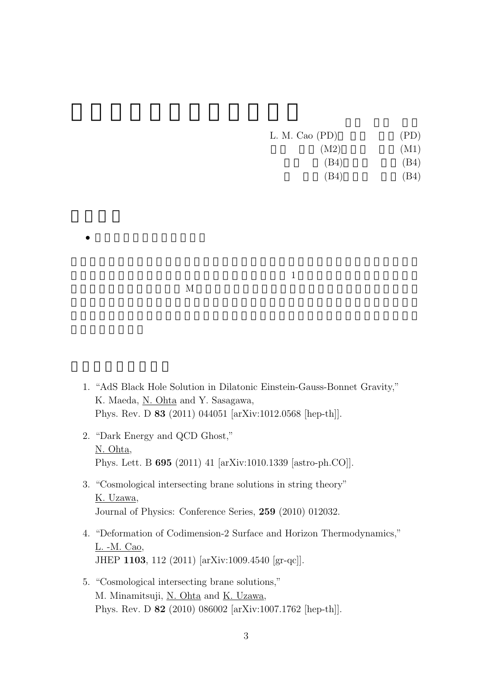| L. M. Cao (PD) | (PD) |
|----------------|------|
| (M2)           | (M1) |
| (B4)           | (B4) |
|                |      |

 $(B4)$  (B4)

 $M$ 

 $\bullet$ 

1. "AdS Black Hole Solution in Dilatonic Einstein-Gauss-Bonnet Gravity," K. Maeda, N. Ohta and Y. Sasagawa, Phys. Rev. D 83 (2011) 044051 [arXiv:1012.0568 [hep-th]].

 $-1$ 

- 2. "Dark Energy and QCD Ghost," N. Ohta, Phys. Lett. B 695 (2011) 41 [arXiv:1010.1339 [astro-ph.CO]].
- 3. "Cosmological intersecting brane solutions in string theory" K. Uzawa, Journal of Physics: Conference Series, 259 (2010) 012032.
- 4. "Deformation of Codimension-2 Surface and Horizon Thermodynamics," L. -M. Cao, JHEP 1103, 112 (2011) [arXiv:1009.4540 [gr-qc]].
- 5. "Cosmological intersecting brane solutions," M. Minamitsuji, N. Ohta and K. Uzawa, Phys. Rev. D 82 (2010) 086002 [arXiv:1007.1762 [hep-th]].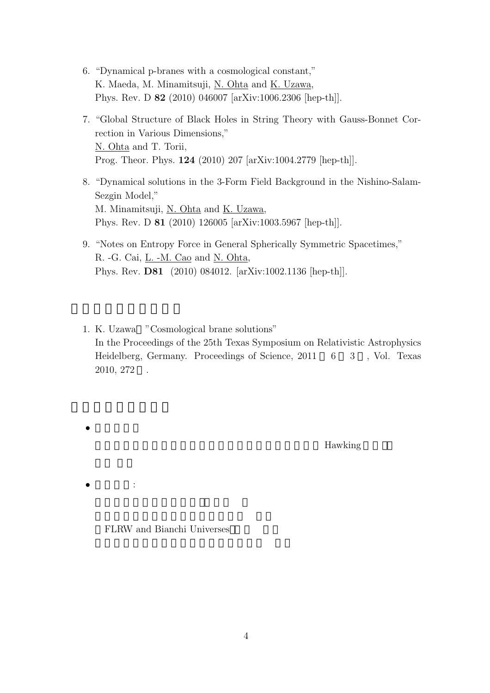- 6. "Dynamical p-branes with a cosmological constant," K. Maeda, M. Minamitsuji, N. Ohta and K. Uzawa, Phys. Rev. D 82 (2010) 046007 [arXiv:1006.2306 [hep-th]].
- 7. "Global Structure of Black Holes in String Theory with Gauss-Bonnet Correction in Various Dimensions," N. Ohta and T. Torii, Prog. Theor. Phys. 124 (2010) 207 [arXiv:1004.2779 [hep-th]].
- 8. "Dynamical solutions in the 3-Form Field Background in the Nishino-Salam-Sezgin Model," M. Minamitsuji, N. Ohta and K. Uzawa, Phys. Rev. D 81 (2010) 126005 [arXiv:1003.5967 [hep-th]].
- 9. "Notes on Entropy Force in General Spherically Symmetric Spacetimes," R. -G. Cai, L. -M. Cao and N. Ohta, Phys. Rev. D81 (2010) 084012. [arXiv:1002.1136 [hep-th]].
- 1. K. Uzawa "Cosmological brane solutions" In the Proceedings of the 25th Texas Symposium on Relativistic Astrophysics Heidelberg, Germany. Proceedings of Science, 2011 6 3 , Vol. Texas 2010, 272 .

Hawking

 $\bullet$   $\bullet$   $\bullet$   $\bullet$   $\bullet$   $\bullet$ 

 $\bullet$ 

FLRW and Bianchi Universes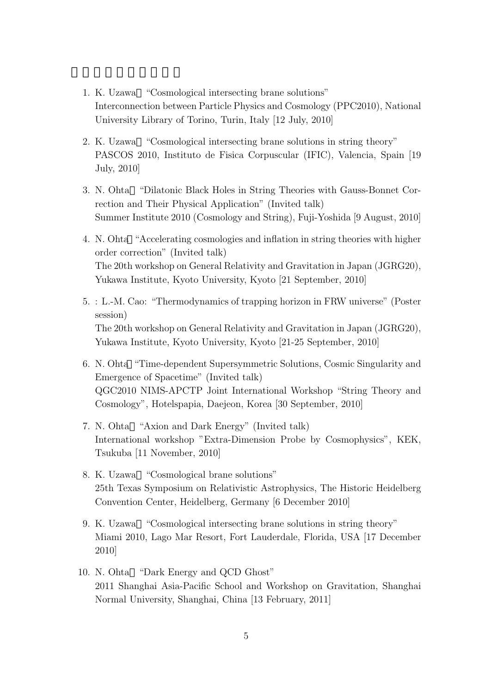- 1. K. Uzawa "Cosmological intersecting brane solutions" Interconnection between Particle Physics and Cosmology (PPC2010), National University Library of Torino, Turin, Italy [12 July, 2010]
- 2. K. Uzawa "Cosmological intersecting brane solutions in string theory" PASCOS 2010, Instituto de Fisica Corpuscular (IFIC), Valencia, Spain [19 July, 2010]
- 3. N. Ohta "Dilatonic Black Holes in String Theories with Gauss-Bonnet Correction and Their Physical Application" (Invited talk) Summer Institute 2010 (Cosmology and String), Fuji-Yoshida [9 August, 2010]
- 4. N. Ohta "Accelerating cosmologies and inflation in string theories with higher order correction" (Invited talk) The 20th workshop on General Relativity and Gravitation in Japan (JGRG20), Yukawa Institute, Kyoto University, Kyoto [21 September, 2010]
- 5. : L.-M. Cao: "Thermodynamics of trapping horizon in FRW universe" (Poster session) The 20th workshop on General Relativity and Gravitation in Japan (JGRG20), Yukawa Institute, Kyoto University, Kyoto [21-25 September, 2010]
- 6. N. Ohta "Time-dependent Supersymmetric Solutions, Cosmic Singularity and Emergence of Spacetime" (Invited talk) QGC2010 NIMS-APCTP Joint International Workshop "String Theory and Cosmology", Hotelspapia, Daejeon, Korea [30 September, 2010]
- 7. N. Ohta "Axion and Dark Energy" (Invited talk) International workshop "Extra-Dimension Probe by Cosmophysics", KEK, Tsukuba [11 November, 2010]
- 8. K. Uzawa "Cosmological brane solutions" 25th Texas Symposium on Relativistic Astrophysics, The Historic Heidelberg Convention Center, Heidelberg, Germany [6 December 2010]
- 9. K. Uzawa "Cosmological intersecting brane solutions in string theory" Miami 2010, Lago Mar Resort, Fort Lauderdale, Florida, USA [17 December 2010]
- 10. N. Ohta "Dark Energy and QCD Ghost" 2011 Shanghai Asia-Pacific School and Workshop on Gravitation, Shanghai Normal University, Shanghai, China [13 February, 2011]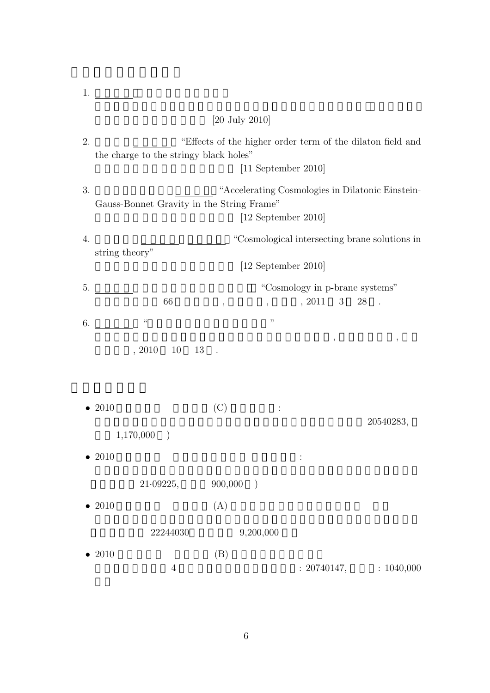|                |                                           |                | $[20 \text{ July } 2010]$ |                                                            |            |
|----------------|-------------------------------------------|----------------|---------------------------|------------------------------------------------------------|------------|
| 2.             | the charge to the stringy black holes"    |                |                           | "Effects of the higher order term of the dilaton field and |            |
|                |                                           |                | $[11$ September 2010]     |                                                            |            |
| 3.             |                                           |                |                           | "Accelerating Cosmologies in Dilatonic Einstein-           |            |
|                | Gauss-Bonnet Gravity in the String Frame" |                | $[12$ September 2010]     |                                                            |            |
| 4.             |                                           |                |                           | "Cosmological intersecting brane solutions in              |            |
| string theory" |                                           |                |                           |                                                            |            |
|                |                                           |                | $[12$ September 2010]     |                                                            |            |
| 5.             | 66                                        | $\,$           | ,                         | "Cosmology in p-brane systems"<br>, 2011<br>$3 \t 28$ .    |            |
| 6.             | $\zeta\,\zeta$                            |                | $, ,$                     |                                                            |            |
|                | , 2010<br>10                              | 13<br>$\sim$ . |                           |                                                            |            |
| $\bullet$ 2010 |                                           | (C)            | $\vdots$                  |                                                            |            |
|                | 1,170,000                                 |                |                           |                                                            | 20540283,  |
| $\bullet$ 2010 |                                           |                |                           | $\vdots$                                                   |            |
|                | 21.09225,                                 | 900,000        | $\big)$                   |                                                            |            |
| $\bullet$ 2010 |                                           | (A)            |                           |                                                            |            |
|                | 22244030                                  |                | 9,200,000                 |                                                            |            |
| $\bullet$ 2010 |                                           | (B)            |                           |                                                            |            |
|                | $\overline{4}$                            |                |                           | : 20740147,                                                | : 1040,000 |

6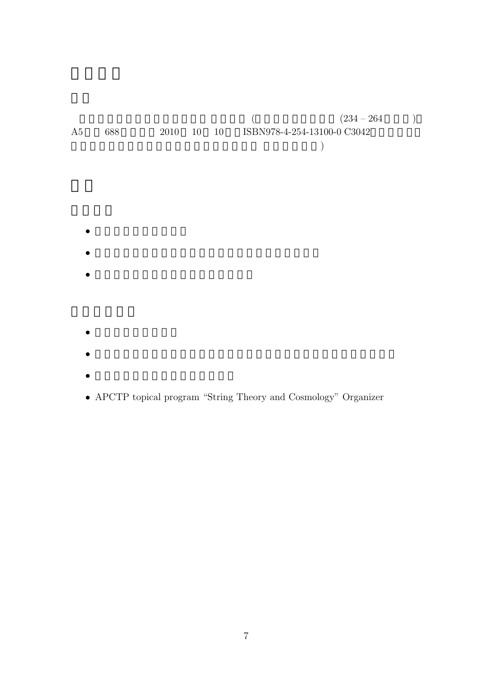|    |         |          |                 |        |                             | $(234 - 264)$ | $\mathcal{E}$ |
|----|---------|----------|-----------------|--------|-----------------------------|---------------|---------------|
| A5 | $688\,$ | $2010\,$ | 10 <sup>°</sup> | $10\,$ | ISBN978-4-254-13100-0 C3042 |               |               |
|    |         |          |                 |        |                             |               |               |
|    |         |          |                 |        |                             |               |               |
|    |         |          |                 |        |                             |               |               |
|    |         |          |                 |        |                             |               |               |
|    |         |          |                 |        |                             |               |               |
|    |         |          |                 |        |                             |               |               |
|    |         |          |                 |        |                             |               |               |
|    |         |          |                 |        |                             |               |               |
|    |         |          |                 |        |                             |               |               |
|    |         |          |                 |        |                             |               |               |
|    |         |          |                 |        |                             |               |               |
|    |         |          |                 |        |                             |               |               |
|    |         |          |                 |        |                             |               |               |
|    |         |          |                 |        |                             |               |               |
|    |         |          |                 |        |                             |               |               |
|    |         |          |                 |        |                             |               |               |
|    |         |          |                 |        |                             |               |               |
|    |         |          |                 |        |                             |               |               |
|    |         |          |                 |        |                             |               |               |

• APCTP topical program "String Theory and Cosmology" Organizer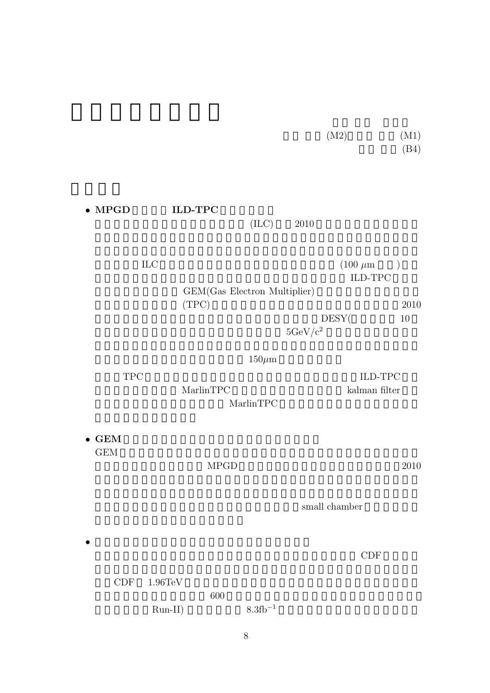$(M2)$  $(M1)$ <br> $(B4)$ 

| $\bullet$ MPGD     | $ILD-TPC$<br>(ILC)                       | $2010\,$      |                                                                        |
|--------------------|------------------------------------------|---------------|------------------------------------------------------------------------|
| ILC                | GEM(Gas Electron Multiplier)             |               | (100 $\mu \mathrm{m}$<br>$\bigcirc$<br>$\mathop{\rm ILD-TPC}\nolimits$ |
|                    | (TPC)                                    | $5 GeV/c^2$   | 2010<br>DESY(<br>10                                                    |
|                    | $150 \mu m$                              |               |                                                                        |
| <b>TPC</b>         | MarlinTPC<br>MarlinTPC                   |               | ILD-TPC<br>kalman filter                                               |
| ${\bf GEM}$<br>GEM | MPGD                                     |               | 2010                                                                   |
|                    |                                          | small chamber |                                                                        |
|                    |                                          |               | CDF                                                                    |
| CDF                | $1.96\mathrm{TeV}$                       |               |                                                                        |
|                    | 600<br>$8.3 \text{fb}^{-1}$<br>$Run-II)$ |               |                                                                        |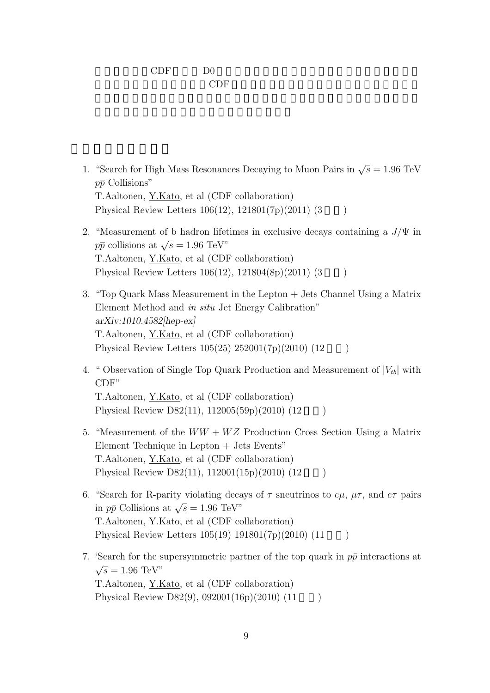| $CDF$ D <sub>0</sub> |     |
|----------------------|-----|
|                      | CDF |

- 1. "Search for High Mass Resonances Decaying to Muon Pairs in  $\sqrt{s} = 1.96 \text{ TeV}$  $p\overline{p}$  Collisions" T.Aaltonen, Y.Kato, et al (CDF collaboration) Physical Review Letters  $106(12)$ ,  $121801(7p)(2011)$   $(3)$
- 2. "Measurement of b hadron lifetimes in exclusive decays containing a  $J/\Psi$  in pp collisions at  $\sqrt{s} = 1.96 \text{ TeV}^n$ T.Aaltonen, Y.Kato, et al (CDF collaboration) Physical Review Letters  $106(12)$ ,  $121804(8p)(2011)$   $(3)$
- 3. "Top Quark Mass Measurement in the Lepton + Jets Channel Using a Matrix Element Method and in situ Jet Energy Calibration" arXiv:1010.4582[hep-ex] T.Aaltonen, Y.Kato, et al (CDF collaboration) Physical Review Letters  $105(25)$   $252001(7p)(2010)$   $(12)$
- 4. " Observation of Single Top Quark Production and Measurement of  $|V_{tb}|$  with CDF" T.Aaltonen, Y.Kato, et al (CDF collaboration) Physical Review D82(11),  $112005(59p)(2010)$  (12 )
- 5. "Measurement of the  $WW + WZ$  Production Cross Section Using a Matrix Element Technique in Lepton + Jets Events" T.Aaltonen, Y.Kato, et al (CDF collaboration) Physical Review D82(11),  $112001(15p)(2010)$  (12 )
- 6. "Search for R-parity violating decays of  $\tau$  sneutrinos to  $e\mu$ ,  $\mu\tau$ , and  $e\tau$  pairs in  $p\bar{p}$  Collisions at  $\sqrt{s} = 1.96 \text{ TeV}^n$ T.Aaltonen, Y.Kato, et al (CDF collaboration) Physical Review Letters  $105(19) 191801(7p)(2010) (11)$
- 7. 'Search for the supersymmetric partner of the top quark in  $p\bar{p}$  interactions at √  $\overline{s} = 1.96 \text{ TeV}^n$ T.Aaltonen, Y.Kato, et al (CDF collaboration) Physical Review D82(9),  $092001(16p)(2010)$  (11 )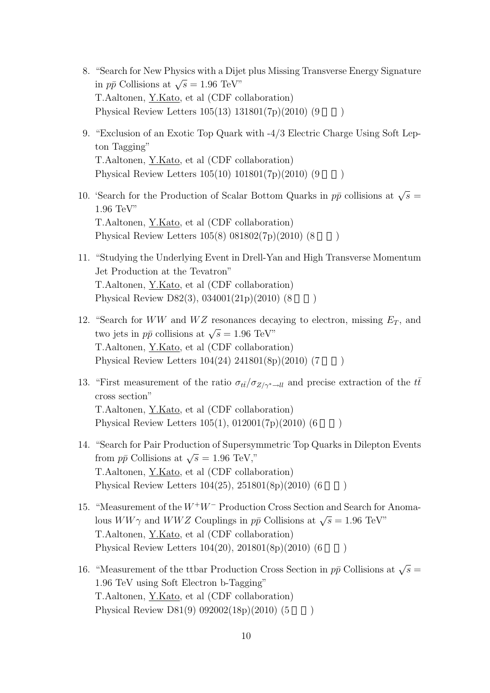- 8. "Search for New Physics with a Dijet plus Missing Transverse Energy Signature in  $p\bar{p}$  Collisions at  $\sqrt{s} = 1.96 \text{ TeV}^n$ T.Aaltonen, Y.Kato, et al (CDF collaboration) Physical Review Letters  $105(13) 131801(7p)(2010) (9)$
- 9. "Exclusion of an Exotic Top Quark with -4/3 Electric Charge Using Soft Lepton Tagging" T.Aaltonen, Y.Kato, et al (CDF collaboration) Physical Review Letters  $105(10) 101801(7p)(2010) (9)$
- 10. 'Search for the Production of Scalar Bottom Quarks in  $p\bar{p}$  collisions at  $\sqrt{s}$  = 1.96 TeV" T.Aaltonen, Y.Kato, et al (CDF collaboration) Physical Review Letters  $105(8) 081802(7p)(2010)$   $(8)$
- 11. "Studying the Underlying Event in Drell-Yan and High Transverse Momentum Jet Production at the Tevatron" T.Aaltonen, Y.Kato, et al (CDF collaboration) Physical Review D82(3),  $034001(21p)(2010)$  (8)
- 12. "Search for WW and WZ resonances decaying to electron, missing  $E_T$ , and two jets in  $p\bar{p}$  collisions at  $\sqrt{s} = 1.96$  TeV" T.Aaltonen, Y.Kato, et al (CDF collaboration) Physical Review Letters  $104(24)$   $241801(8p)(2010)$   $(7 \t)$
- 13. "First measurement of the ratio  $\sigma_{t\bar{t}}/\sigma_{Z/\gamma^*\to ll}$  and precise extraction of the  $t\bar{t}$ cross section" T.Aaltonen, Y.Kato, et al (CDF collaboration) Physical Review Letters  $105(1)$ ,  $012001(7p)(2010)$   $(6)$
- 14. "Search for Pair Production of Supersymmetric Top Quarks in Dilepton Events from  $p\bar{p}$  Collisions at  $\sqrt{s} = 1.96$  TeV," T.Aaltonen, Y.Kato, et al (CDF collaboration) Physical Review Letters  $104(25)$ ,  $251801(8p)(2010)$  (6 )
- 15. "Measurement of the W<sup>+</sup>W<sup>−</sup> Production Cross Section and Search for Anomalous  $WW\gamma$  and  $WWZ$  Couplings in  $p\bar{p}$  Collisions at  $\sqrt{s} = 1.96$  TeV" T.Aaltonen, Y.Kato, et al (CDF collaboration) Physical Review Letters  $104(20)$ ,  $201801(8p)(2010)$  (6 )
- 16. "Measurement of the ttbar Production Cross Section in  $p\bar{p}$  Collisions at  $\sqrt{s} =$ 1.96 TeV using Soft Electron b-Tagging" T.Aaltonen, Y.Kato, et al (CDF collaboration) Physical Review D81(9)  $092002(18p)(2010)$  (5)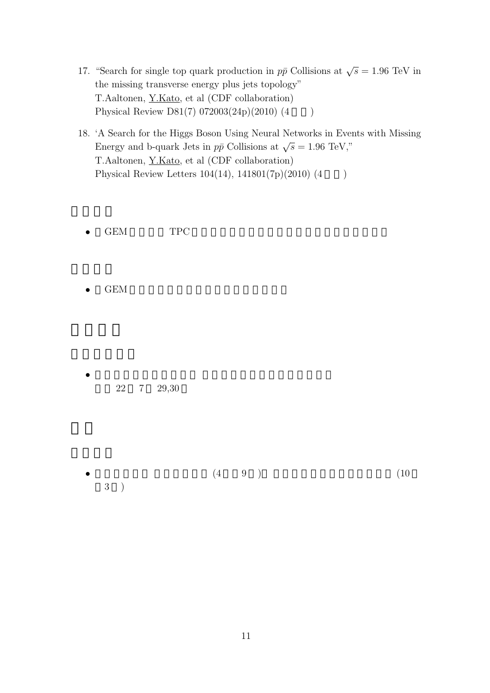- 17. "Search for single top quark production in  $p\bar{p}$  Collisions at  $\sqrt{s} = 1.96$  TeV in the missing transverse energy plus jets topology" T.Aaltonen, Y.Kato, et al (CDF collaboration) Physical Review D81(7)  $072003(24p)(2010)$  (4)
- 18. 'A Search for the Higgs Boson Using Neural Networks in Events with Missing Energy and b-quark Jets in  $p\bar{p}$  Collisions at  $\sqrt{s} = 1.96$  TeV," T.Aaltonen, Y.Kato, et al (CDF collaboration) Physical Review Letters  $104(14)$ ,  $141801(7p)(2010)$   $(4)$ 
	- GEM TPC  $\blacksquare$
	- GEM

• 大学コンソーシアム大阪 「小学校理科指導力向上研修」 平成 22 7 29,30

•  $(4 \t 9)$   $(10$ 3 )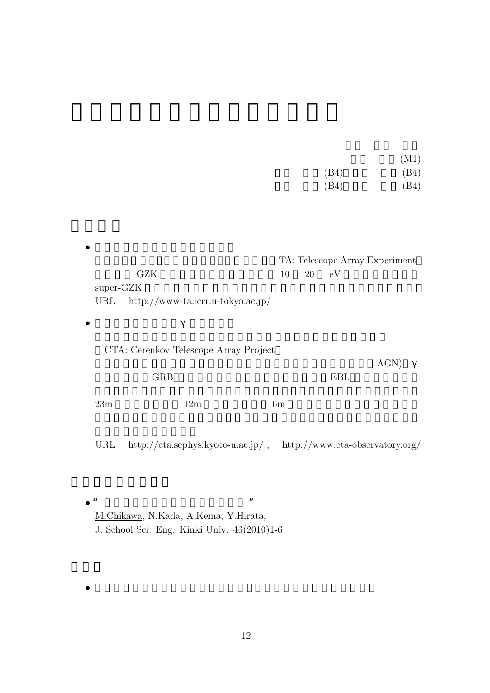|      | (M1) |
|------|------|
| (B4) | (B4) |
| (B4) | (B4) |

| $\bullet$<br><b>GZK</b><br>$super-GZK$<br>URL | http://www-ta.icrr.u-tokyo.ac.jp/                   | 10 | 20 | $\rm{eV}$ | TA: Telescope Array Experiment |
|-----------------------------------------------|-----------------------------------------------------|----|----|-----------|--------------------------------|
| $\bullet$                                     | CTA: Cerenkov Telescope Array Project<br><b>GRB</b> |    |    | EBL       | AGN)                           |
| 23m                                           | 12m                                                 | 6m |    |           |                                |

 $\label{thm:un} \textsc{URL} \quad \text{http://cta.scphys.kyoto-u.ac.jp/} \ , \quad \text{http://www.cta-observatory.org/}$ 

 $\bullet$  "  $\qquad \qquad$  " M.Chikawa, N.Kada, A.Kema, Y.Hirata, J. School Sci. Eng. Kinki Univ. 46(2010)1-6

 $\bullet$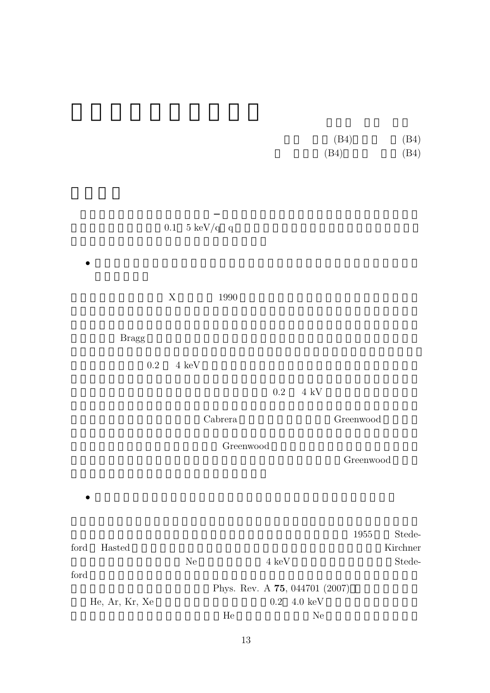| (B4) | (B4) |
|------|------|
| (B4) | (B4) |

 $0.1$  5 keV/q q

 $\bullet$  $X = 1990$ <u>Bragg</u> ビークロークの飾りを使うことを使うことにはない。<br>ペッシュの崩壊  $0.2 \quad 4 \text{ keV}$ 

 $0.2 \qquad 4 \text{ kV}$ 

Greenwood

• Area and the state of the state and the state  $\sim$  and the state  $\sim$ 

Greenwood

 $1955$  Stedeford Hasted **Kirchner**  ${\rm Ne} \hspace{1.5cm} {\rm Stede} \hspace{1.5cm}$  $\log$ Phys. Rev. A 75, 044701 (2007)  $\emph{He, Ar, Kr, Xe} \qquad \qquad 0.2 \quad 4.0 \text{ keV}$ で断面積測定を行った。その結果、He 原子に対しては、Ne 原子と同様にこれまで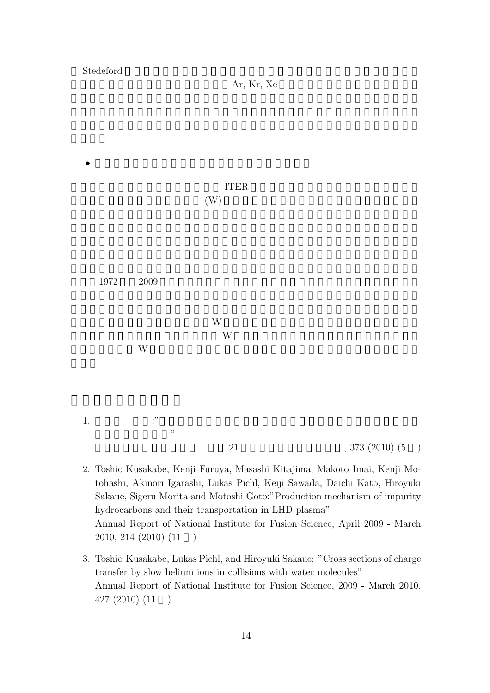## Stedeford

 $\bullet$  $\Pi$  TER  $\Omega$  $(W)$ 1972 2009 **2009 12009 12009 12009 12009 12009**  $\mathbf W$  $\rm W$  $\rm W$ 1.  $\cdots$  $\mathcal{D}$  $21$  , 373 (2010) (5 )

Ar, Kr, Xe

- 2. Toshio Kusakabe, Kenji Furuya, Masashi Kitajima, Makoto Imai, Kenji Motohashi, Akinori Igarashi, Lukas Pichl, Keiji Sawada, Daichi Kato, Hiroyuki Sakaue, Sigeru Morita and Motoshi Goto:"Production mechanism of impurity hydrocarbons and their transportation in LHD plasma" Annual Report of National Institute for Fusion Science, April 2009 - March 2010, 214 (2010) (11 )
- 3. Toshio Kusakabe, Lukas Pichl, and Hiroyuki Sakaue: "Cross sections of charge transfer by slow helium ions in collisions with water molecules" Annual Report of National Institute for Fusion Science, 2009 - March 2010, 427 (2010) (11 )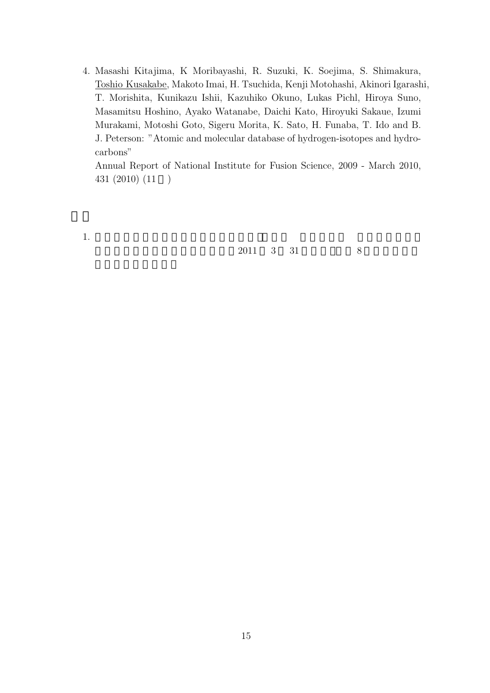4. Masashi Kitajima, K Moribayashi, R. Suzuki, K. Soejima, S. Shimakura, Toshio Kusakabe, Makoto Imai, H. Tsuchida, Kenji Motohashi, Akinori Igarashi, T. Morishita, Kunikazu Ishii, Kazuhiko Okuno, Lukas Pichl, Hiroya Suno, Masamitsu Hoshino, Ayako Watanabe, Daichi Kato, Hiroyuki Sakaue, Izumi Murakami, Motoshi Goto, Sigeru Morita, K. Sato, H. Funaba, T. Ido and B. J. Peterson: "Atomic and molecular database of hydrogen-isotopes and hydrocarbons"

Annual Report of National Institute for Fusion Science, 2009 - March 2010, 431 (2010) (11 )

 $1.$ 

 $2011 \t 3 \t 31$  8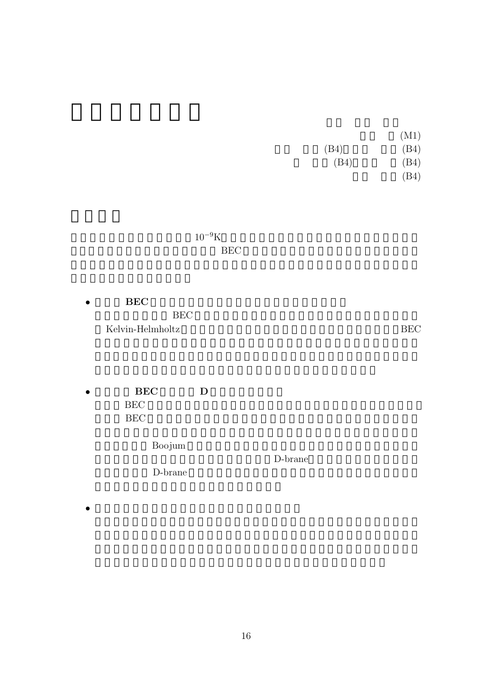|      | (M1) |
|------|------|
| (B4) | (B4) |
| (B4) | (B4) |
|      | (B4) |

 $10^{-9}$ K  $\rm BEC$ 

•  $BEC$ 

edia becomes BEC のうちに対する安定性を調べた。これは日本流体ではない。これは日本流体ではないです。これは日本流体ではないです。これは日本流体ではないです。これは日本流体ではないです。これは日本流体ではな  $\begin{array}{lll} \mbox{Kelvin-Helmholtz} \qquad \qquad & \mbox{BEC} \end{array}$ 

## • BEC D BEC 2008BEC でんちょうかんじょう しょうしょうかい スタックス しゅうしゅう しょうせいしゅう しょうしゅう しょうしゅう しょうしゅう しょうしゅう しょくしゅう 2成分 BEC は場の理論で知られる非線形シグマ模型で記述でき、静的な複合

Boojum

D-brane

D-brane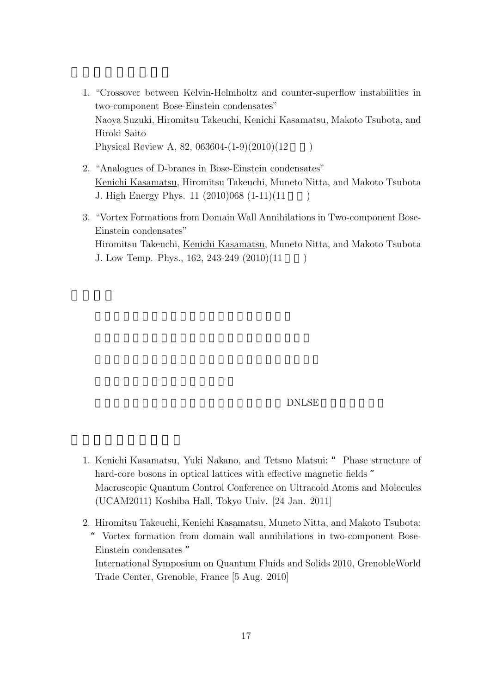- 1. "Crossover between Kelvin-Helmholtz and counter-superflow instabilities in two-component Bose-Einstein condensates" Naoya Suzuki, Hiromitsu Takeuchi, Kenichi Kasamatsu, Makoto Tsubota, and Hiroki Saito Physical Review A, 82, 063604- $(1-9)(2010)(12)$
- 2. "Analogues of D-branes in Bose-Einstein condensates" Kenichi Kasamatsu, Hiromitsu Takeuchi, Muneto Nitta, and Makoto Tsubota J. High Energy Phys.  $11 (2010)068 (1-11)(11)$
- 3. "Vortex Formations from Domain Wall Annihilations in Two-component Bose-Einstein condensates" Hiromitsu Takeuchi, Kenichi Kasamatsu, Muneto Nitta, and Makoto Tsubota J. Low Temp. Phys.,  $162$ ,  $243-249$   $(2010)(11)$

## DNLSE

- 1. Kenichi Kasamatsu, Yuki Nakano, and Tetsuo Matsui: " Phase structure of hard-core bosons in optical lattices with effective magnetic fields " Macroscopic Quantum Control Conference on Ultracold Atoms and Molecules (UCAM2011) Koshiba Hall, Tokyo Univ. [24 Jan. 2011]
- 2. Hiromitsu Takeuchi, Kenichi Kasamatsu, Muneto Nitta, and Makoto Tsubota: " Vortex formation from domain wall annihilations in two-component Bose-Einstein condensates " International Symposium on Quantum Fluids and Solids 2010, GrenobleWorld Trade Center, Grenoble, France [5 Aug. 2010]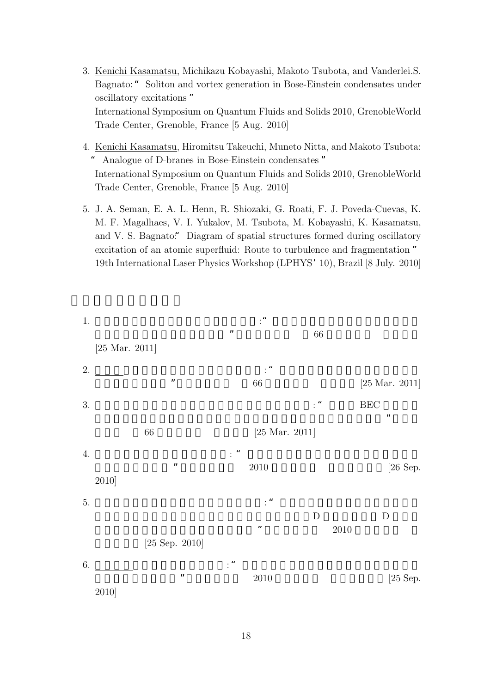- 3. Kenichi Kasamatsu, Michikazu Kobayashi, Makoto Tsubota, and Vanderlei.S. Bagnato:" Soliton and vortex generation in Bose-Einstein condensates under oscillatory excitations " International Symposium on Quantum Fluids and Solids 2010, GrenobleWorld Trade Center, Grenoble, France [5 Aug. 2010]
- 4. Kenichi Kasamatsu, Hiromitsu Takeuchi, Muneto Nitta, and Makoto Tsubota: " Analogue of D-branes in Bose-Einstein condensates " International Symposium on Quantum Fluids and Solids 2010, GrenobleWorld Trade Center, Grenoble, France [5 Aug. 2010]
- 5. J. A. Seman, E. A. L. Henn, R. Shiozaki, G. Roati, F. J. Poveda-Cuevas, K. M. F. Magalhaes, V. I. Yukalov, M. Tsubota, M. Kobayashi, K. Kasamatsu, and V. S. Bagnato: Diagram of spatial structures formed during oscillatory excitation of an atomic superfluid: Route to turbulence and fragmentation " 19th International Laser Physics Workshop (LPHYS'10), Brazil [8 July. 2010]

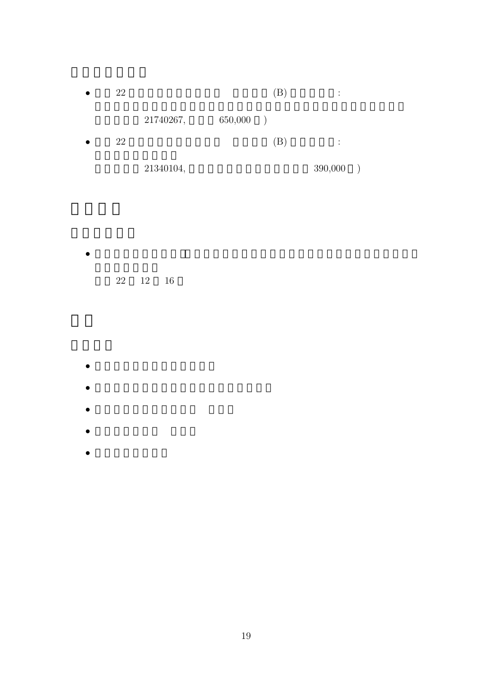- $22$  (B)  $\qquad$  :  $21740267,$   $650,000$  )
- $22$  (B)  $\qquad$  :
	- $21340104,$   $390,000$  )
- $\bullet$  the state  $\bullet$  the state  $\bullet$  the state  $\bullet$  the state  $\bullet$ 
	- 平成 22 12 16
- 理工学部入学試験委員会委員
- 
- 総合理工学研究科理学専攻広報委員会委員
- 理工学部物理学基礎教育 世話人
- $\bullet$  expression in the set of  $\bullet$
- $\bullet$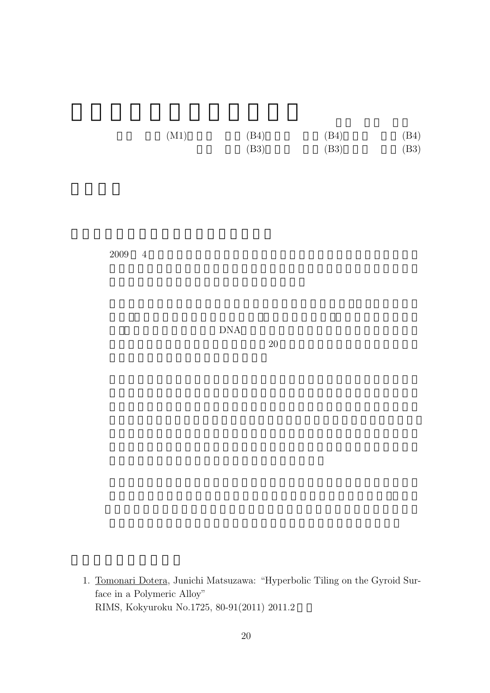| (M1) | (B4) | (B4) | (B4) |
|------|------|------|------|
|      | (B3) | (B3) | (B3) |

 $2009$  4

 $\rm DNA$ 

 $20$ 

1. Tomonari Dotera, Junichi Matsuzawa: "Hyperbolic Tiling on the Gyroid Surface in a Polymeric Alloy" RIMS, Kokyuroku No.1725, 80-91(2011) 2011.2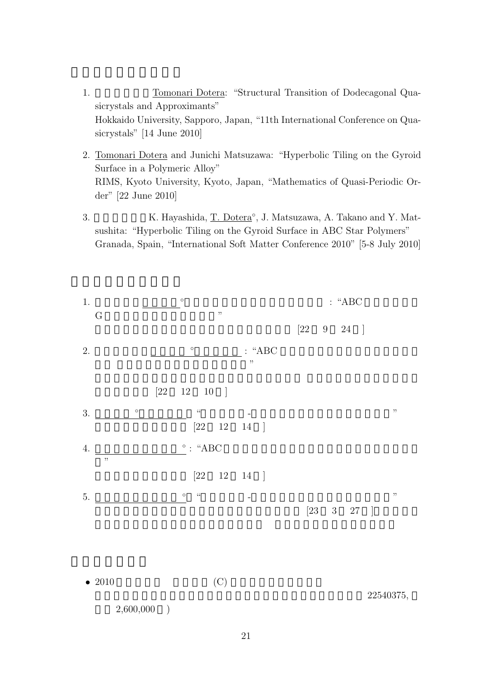- 1. Tomonari Dotera: "Structural Transition of Dodecagonal Quasicrystals and Approximants" Hokkaido University, Sapporo, Japan, "11th International Conference on Quasicrystals" [14 June 2010]
- 2. Tomonari Dotera and Junichi Matsuzawa: "Hyperbolic Tiling on the Gyroid Surface in a Polymeric Alloy" RIMS, Kyoto University, Kyoto, Japan, "Mathematics of Quasi-Periodic Order" [22 June 2010]
- 3. K. Hayashida, T. Dotera<sup>°</sup>, J. Matsuzawa, A. Takano and Y. Matsushita: "Hyperbolic Tiling on the Gyroid Surface in ABC Star Polymers" Granada, Spain, "International Soft Matter Conference 2010" [5-8 July 2010]

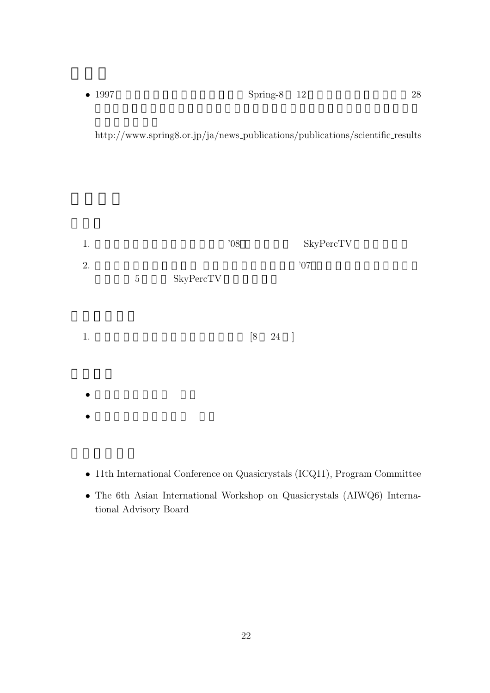http://www.spring8.or.jp/ja/news publications/publications/scientific results



- 11th International Conference on Quasicrystals (ICQ11), Program Committee
- The 6th Asian International Workshop on Quasicrystals (AIWQ6) International Advisory Board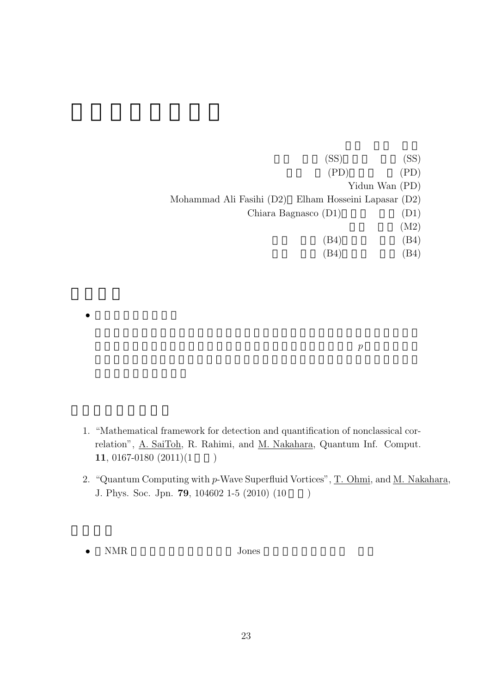|                                                      | (SS)                 | (SS)           |
|------------------------------------------------------|----------------------|----------------|
|                                                      | (PD)                 | (PD)           |
|                                                      |                      | Yidun Wan (PD) |
| Mohammad Ali Fasihi (D2) Elham Hosseini Lapasar (D2) |                      |                |
|                                                      | Chiara Bagnasco (D1) | (D1)           |
|                                                      |                      | (M2)           |
|                                                      | (B4)                 | (B4)           |
|                                                      |                      |                |
|                                                      |                      |                |

 $p$ 

- 1. "Mathematical framework for detection and quantification of nonclassical correlation", A. SaiToh, R. Rahimi, and M. Nakahara, Quantum Inf. Comput. 11, 0167-0180  $(2011)(1)$
- 2. "Quantum Computing with p-Wave Superfluid Vortices", T. Ohmi, and M. Nakahara, J. Phys. Soc. Jpn. **79**, 104602 1-5 (2010) (10 )

•  $NMR$  Jones  $Jones$ 

 $\bullet$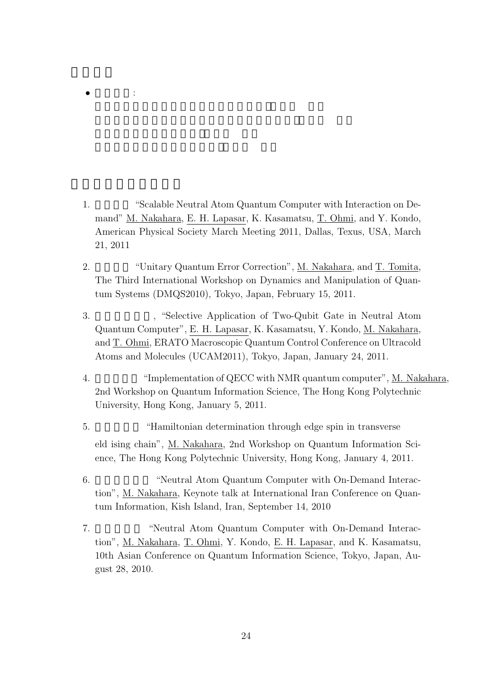1. "Scalable Neutral Atom Quantum Computer with Interaction on Demand" M. Nakahara, E. H. Lapasar, K. Kasamatsu, T. Ohmi, and Y. Kondo, American Physical Society March Meeting 2011, Dallas, Texus, USA, March 21, 2011

 $\bullet$   $\bullet$   $\bullet$   $\bullet$   $\bullet$   $\bullet$ 

- 2. "Unitary Quantum Error Correction", M. Nakahara, and T. Tomita, The Third International Workshop on Dynamics and Manipulation of Quantum Systems (DMQS2010), Tokyo, Japan, February 15, 2011.
- 3. Selective Application of Two-Qubit Gate in Neutral Atom Quantum Computer", E. H. Lapasar, K. Kasamatsu, Y. Kondo, M. Nakahara, and T. Ohmi, ERATO Macroscopic Quantum Control Conference on Ultracold Atoms and Molecules (UCAM2011), Tokyo, Japan, January 24, 2011.
- 4. "Implementation of QECC with NMR quantum computer", M. Nakahara, 2nd Workshop on Quantum Information Science, The Hong Kong Polytechnic University, Hong Kong, January 5, 2011.
- 5. **The "Hamiltonian determination through edge spin in transverse** eld ising chain", M. Nakahara, 2nd Workshop on Quantum Information Science, The Hong Kong Polytechnic University, Hong Kong, January 4, 2011.
- 6. "Neutral Atom Quantum Computer with On-Demand Interaction", M. Nakahara, Keynote talk at International Iran Conference on Quantum Information, Kish Island, Iran, September 14, 2010
- 7. "Neutral Atom Quantum Computer with On-Demand Interaction", M. Nakahara, T. Ohmi, Y. Kondo, E. H. Lapasar, and K. Kasamatsu, 10th Asian Conference on Quantum Information Science, Tokyo, Japan, August 28, 2010.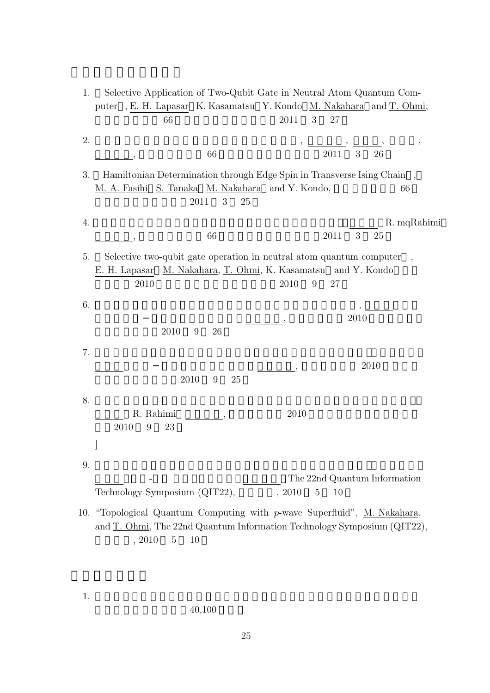| 1. | Selective Application of Two-Qubit Gate in Neutral Atom Quantum Com-                    |
|----|-----------------------------------------------------------------------------------------|
|    | puter, E. H. Lapasar, K. Kasamatsu, Y. Kondo, <u>M. Nakahara</u> , and <u>T. Ohmi</u> , |
|    | 2011<br>3<br>27<br>66                                                                   |
|    |                                                                                         |
| 2. | ,                                                                                       |
|    | 3<br>2011<br>66<br>26<br>,                                                              |
| 3. | Hamiltonian Determination through Edge Spin in Transverse Ising Chain,                  |
|    | M. A. Fasihi S. Tanaka M. Nakahara and Y. Kondo,<br>66                                  |
|    | 2011<br>3<br>25                                                                         |
|    |                                                                                         |
| 4. | R. mqRahimi                                                                             |
|    | 3<br>66<br>2011<br>25<br>,,                                                             |
| 5. | Selective two-qubit gate operation in neutral atom quantum computer                     |
|    | M. Nakahara, T. Ohmi, K. Kasamatsu and Y. Kondo<br>E. H. Lapasar                        |
|    | 2010<br>2010<br>9<br>27                                                                 |
|    |                                                                                         |
| 6. |                                                                                         |
|    | 2010                                                                                    |
|    | 2010<br>26<br>9                                                                         |
| 7. |                                                                                         |
|    | 2010                                                                                    |
|    | 2010<br>9<br>25                                                                         |
|    |                                                                                         |
| 8. |                                                                                         |
|    | R. Rahimi<br>2010<br>$\overline{\phantom{a}}$                                           |
|    | 9<br>23<br>2010                                                                         |
|    |                                                                                         |
| 9. |                                                                                         |
|    | The 22nd Quantum Information                                                            |
|    | Technology Symposium (QIT22),<br>, 2010<br>5<br>10                                      |
|    |                                                                                         |
|    | 10. "Topological Quantum Computing with <i>p</i> -wave Superfluid", M. Nakahara,        |
|    | and T. Ohmi, The 22nd Quantum Information Technology Symposium (QIT22),                 |
|    | 10<br>, 2010<br>$\overline{5}$                                                          |

 $1.$ 

 $40,100$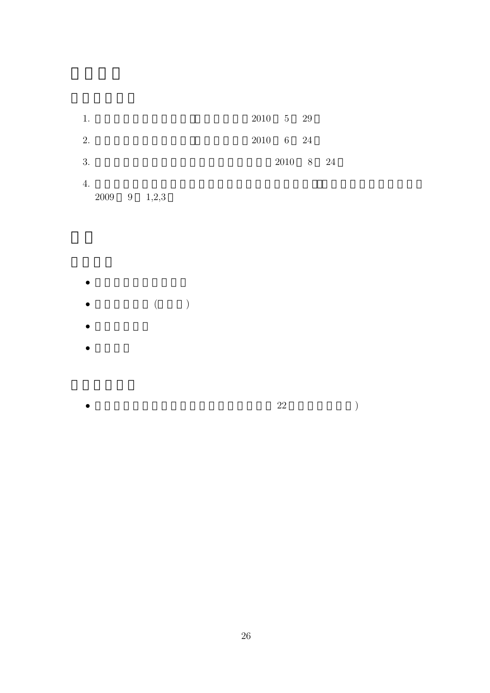| 1. |                            |  | 2010 5 29 |           |  |
|----|----------------------------|--|-----------|-----------|--|
| 2. |                            |  | 2010 6 24 |           |  |
| 3. |                            |  |           | 2010 8 24 |  |
| 4. |                            |  |           |           |  |
|    | $2009 \quad 9 \quad 1,2,3$ |  |           |           |  |

- $\bullet$   $\blacksquare$
- $(\hspace{0.2cm})$
- $\bullet$   $\bullet$   $\bullet$   $\bullet$   $\bullet$   $\bullet$
- $\bullet$

•  $22$  )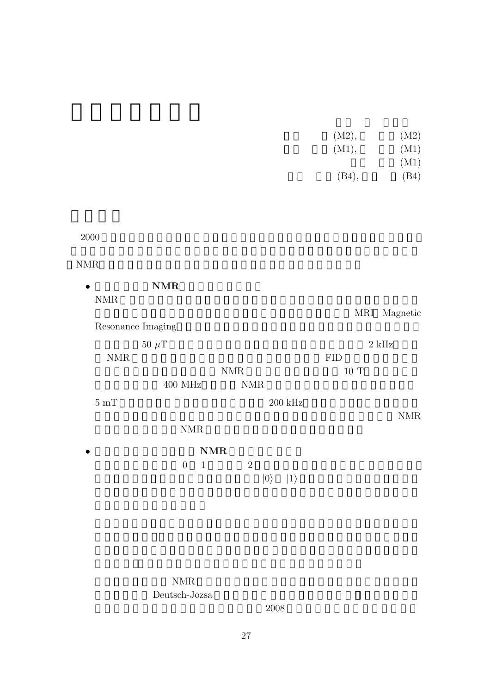| (M2), | (M2) |
|-------|------|
| (M1), | (M1) |
|       | (M1) |
| (B4), | (B4) |

 $2000$ 

 $NMR$ 

| $\bullet$         | <b>NMR</b>               |                |             |              |
|-------------------|--------------------------|----------------|-------------|--------------|
| <b>NMR</b>        |                          |                |             |              |
|                   |                          |                |             | MRI Magnetic |
| Resonance Imaging |                          |                |             |              |
|                   | 50 $\mu$ T               |                |             | $2$ kHz      |
| <b>NMR</b>        |                          |                | <b>FID</b>  |              |
|                   |                          | <b>NMR</b>     |             | $10 T$       |
|                   | $400$ MHz                | <b>NMR</b>     |             |              |
| $5\ \mathrm{mT}$  |                          | $200$ kHz      |             |              |
|                   |                          |                |             | <b>NMR</b>   |
|                   | <b>NMR</b>               |                |             |              |
| $\bullet$         | <b>NMR</b>               |                |             |              |
|                   | $\theta$<br>$\mathbf{1}$ | $\overline{2}$ |             |              |
|                   |                          | $\ket{0}$      | $ 1\rangle$ |              |

NMR  $\mathbb{N}$  ${\rm Deutsch\text{-}Jozsa}$ 

 $2008$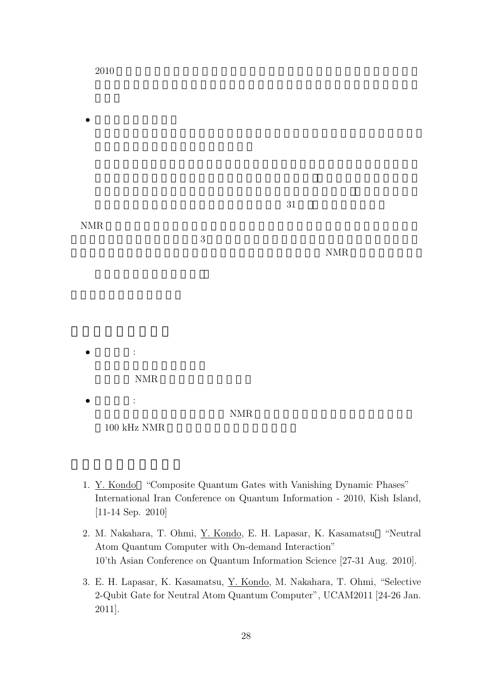

- $100$  kHz NMR
- 1. Y. Kondo "Composite Quantum Gates with Vanishing Dynamic Phases" International Iran Conference on Quantum Information - 2010, Kish Island, [11-14 Sep. 2010]
- 2. M. Nakahara, T. Ohmi, Y. Kondo, E. H. Lapasar, K. Kasamatsu "Neutral Atom Quantum Computer with On-demand Interaction" 10'th Asian Conference on Quantum Information Science [27-31 Aug. 2010].
- 3. E. H. Lapasar, K. Kasamatsu, Y. Kondo, M. Nakahara, T. Ohmi, "Selective 2-Qubit Gate for Neutral Atom Quantum Computer", UCAM2011 [24-26 Jan. 2011].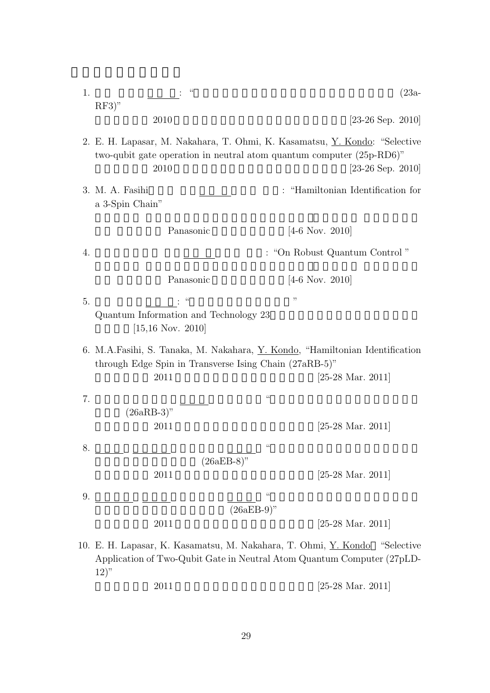| 1. | $\zeta \zeta$                                                | (23a-                                                                                                                                                                                 |
|----|--------------------------------------------------------------|---------------------------------------------------------------------------------------------------------------------------------------------------------------------------------------|
|    | $RF3)$ "                                                     |                                                                                                                                                                                       |
|    | 2010                                                         | [ $23-26$ Sep. $2010$ ]                                                                                                                                                               |
|    | 2010                                                         | 2. E. H. Lapasar, M. Nakahara, T. Ohmi, K. Kasamatsu, <u>Y. Kondo</u> : "Selective<br>two-qubit gate operation in neutral atom quantum computer (25p-RD6)"<br>[ $23-26$ Sep. $2010$ ] |
|    | 3. M. A. Fasihi<br>a 3-Spin Chain"                           | : "Hamiltonian Identification for                                                                                                                                                     |
|    | Panasonic                                                    | $[4-6$ Nov. 2010]                                                                                                                                                                     |
| 4. |                                                              | : "On Robust Quantum Control"                                                                                                                                                         |
|    | Panasonic                                                    | $[4-6$ Nov. 2010]                                                                                                                                                                     |
| 5. | $\sim$                                                       | "                                                                                                                                                                                     |
|    | Quantum Information and Technology 23<br>$[15,16$ Nov. 2010] |                                                                                                                                                                                       |
|    | through Edge Spin in Transverse Ising Chain (27aRB-5)"       | 6. M.A.Fasihi, S. Tanaka, M. Nakahara, <u>Y. Kondo</u> , "Hamiltonian Identification                                                                                                  |
|    | 2011                                                         | $[25-28 \text{ Mar. } 2011]$                                                                                                                                                          |
| 7. |                                                              | $\mathfrak{c}\mathfrak{c}$                                                                                                                                                            |
|    | $(26aRB-3)$ "                                                |                                                                                                                                                                                       |
|    | 2011                                                         | $[25-28 \text{ Mar. } 2011]$                                                                                                                                                          |
| 8. |                                                              | 44                                                                                                                                                                                    |
|    | $(26aEB-8)$ "                                                |                                                                                                                                                                                       |
|    | 2011                                                         | $[25-28 \text{ Mar. } 2011]$                                                                                                                                                          |
| 9. |                                                              | $\zeta\,\zeta$                                                                                                                                                                        |
|    |                                                              | $(26aEB-9)$ "                                                                                                                                                                         |
|    | 2011                                                         | $[25-28 \text{ Mar. } 2011]$                                                                                                                                                          |
|    |                                                              |                                                                                                                                                                                       |

10. E. H. Lapasar, K. Kasamatsu, M. Nakahara, T. Ohmi, Y. Kondo "Selective Application of Two-Qubit Gate in Neutral Atom Quantum Computer (27pLD-12)"

 $[25-28 \text{ Mar. } 2011]$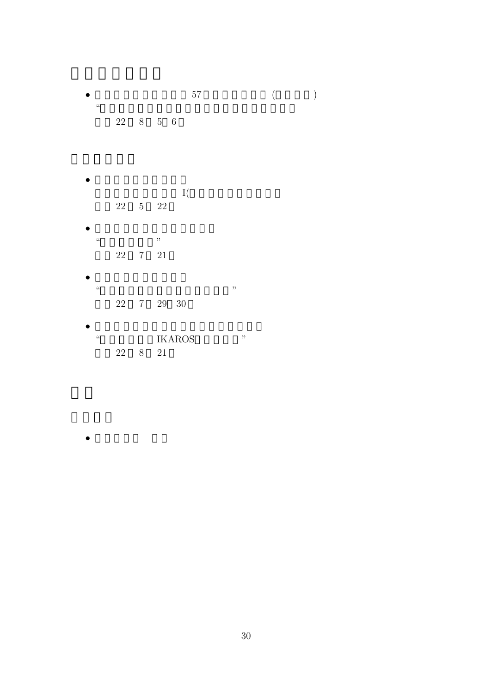$57$  ( $)$  $\bullet$   $\alpha$ 平成 22 8 5 6 • 日本物理教育学会主催  $\mathbf{I}(\mathbf{C})$ 平成 22 5 22 • 泉北高校・近畿大学訪問学習  $\alpha$  and  $\beta$ 

平成 22 7 21 • 大阪市教育委員会主催 "小学校教員理科指導力向上講座" 平成 22 7 29 30  $\bullet$   $\alpha$ 

"FIKAROS " 平成 22 8 21

• 人権委員会 委員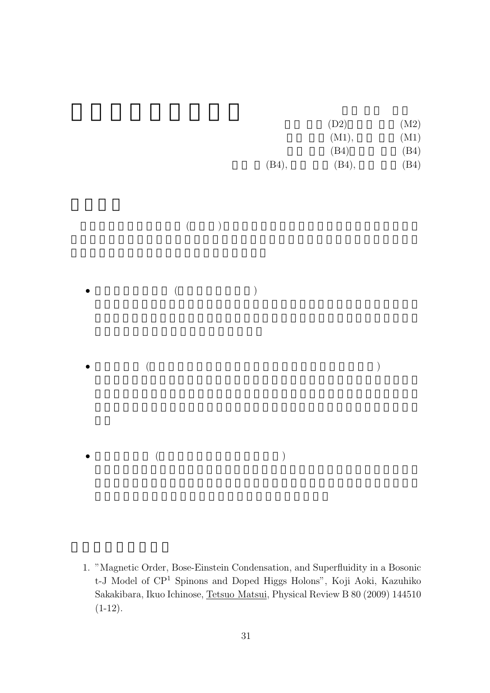|       | (D2)  | (M2) |
|-------|-------|------|
|       | (M1), | (M1) |
|       | (B4)  | (B4) |
| (B4), | (B4), | (B4) |



1. "Magnetic Order, Bose-Einstein Condensation, and Superfluidity in a Bosonic t-J Model of CP<sup>1</sup> Spinons and Doped Higgs Holons", Koji Aoki, Kazuhiko Sakakibara, Ikuo Ichinose, Tetsuo Matsui, Physical Review B 80 (2009) 144510 (1-12).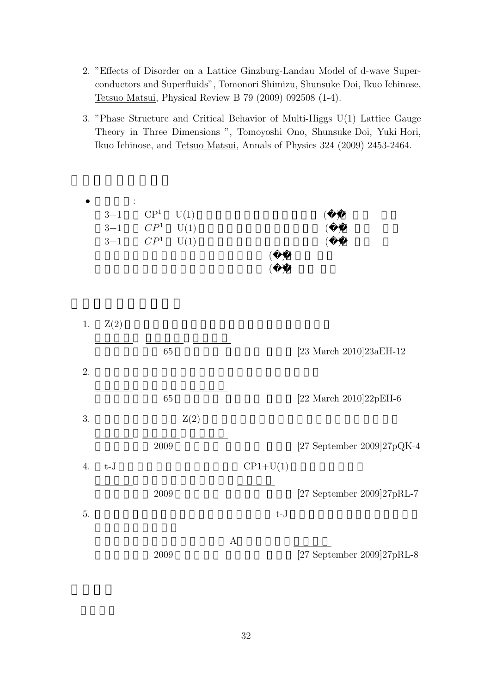- 2. "Effects of Disorder on a Lattice Ginzburg-Landau Model of d-wave Superconductors and Superfluids", Tomonori Shimizu, Shunsuke Doi, Ikuo Ichinose, Tetsuo Matsui, Physical Review B 79 (2009) 092508 (1-4).
- 3. "Phase Structure and Critical Behavior of Multi-Higgs U(1) Lattice Gauge Theory in Three Dimensions ", Tomoyoshi Ono, Shunsuke Doi, Yuki Hori, Ikuo Ichinose, and Tetsuo Matsui, Annals of Physics 324 (2009) 2453-2464.

| $\bullet$ | $\ddot{\phantom{a}}$ |                                           |   |
|-----------|----------------------|-------------------------------------------|---|
| $3 + 1$   |                      | $\mathbf{C} \mathbf{P}^1$ $\mathbf{U}(1)$ | ( |
| $3 + 1$   |                      | $CP1$ U(1)                                | ( |
| $3 + 1$   | $CP1$ U(1)           |                                           | ( |
|           |                      |                                           | ( |
|           |                      |                                           | ( |

1.  $Z(2)$ 123 March 2010]23aEH-12  $2.$ 65 [22 March 2010]22pEH-6  $Z(2)$   $Z(2)$ 高藤裕介,中野勇気,松居哲生 2009 [27 September 2009]27pQK-4 4.  $t-J$  CP1+U(1) 中野勇気,榊原和彦,一瀬郁夫,松居哲生 2009 [27 September 2009]27pRL-7  $5.$   $t-J$  $\mathbf A$ 2009 [27 September 2009]27pRL-8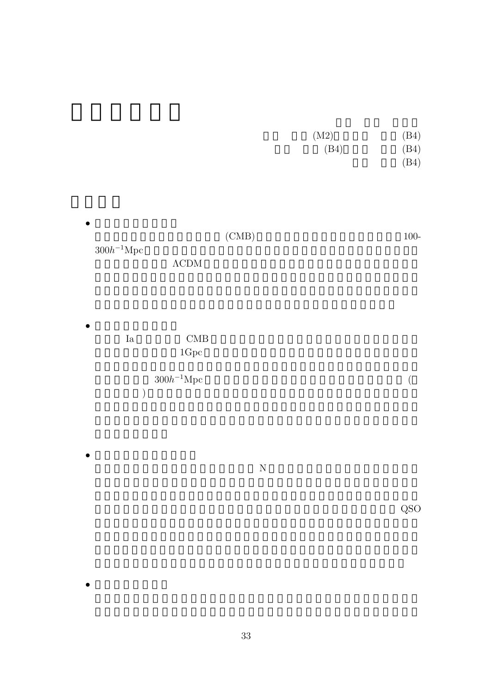| (M2) | (B4) |
|------|------|
| (B4) | (B4) |
|      | (B4) |

| $\bullet$<br>$300h^{-1}\text{Mpc}$ |               | (CMB) |  | $100 -$ |
|------------------------------------|---------------|-------|--|---------|
|                                    | $\Lambda$ CDM |       |  |         |

| Ia | $\rm CMB$     |  |
|----|---------------|--|
|    | $1 {\rm Gpc}$ |  |

| $300h^{-1}\text{Mpc}$ |  |
|-----------------------|--|
|                       |  |

 $N$ 

• ダークマターの微細構造

 $\bullet$ 

 $\Omega$ SO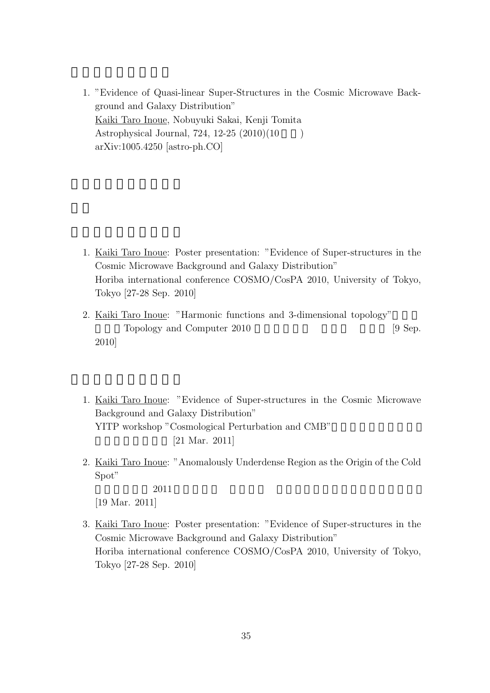1. "Evidence of Quasi-linear Super-Structures in the Cosmic Microwave Background and Galaxy Distribution" Kaiki Taro Inoue, Nobuyuki Sakai, Kenji Tomita Astrophysical Journal, 724, 12-25  $(2010)(10)$ arXiv:1005.4250 [astro-ph.CO]

- 1. Kaiki Taro Inoue: Poster presentation: "Evidence of Super-structures in the Cosmic Microwave Background and Galaxy Distribution" Horiba international conference COSMO/CosPA 2010, University of Tokyo, Tokyo [27-28 Sep. 2010]
- 2. Kaiki Taro Inoue: "Harmonic functions and 3-dimensional topology"  $Topology and Computer 2010$  [9 Sep. 2010]
- 1. Kaiki Taro Inoue: "Evidence of Super-structures in the Cosmic Microwave Background and Galaxy Distribution" YITP workshop "Cosmological Perturbation and CMB"  $[21 \text{ Mar. } 2011]$
- 2. Kaiki Taro Inoue: "Anomalously Underdense Region as the Origin of the Cold Spot"

 $2011$ [19 Mar. 2011]

3. Kaiki Taro Inoue: Poster presentation: "Evidence of Super-structures in the Cosmic Microwave Background and Galaxy Distribution" Horiba international conference COSMO/CosPA 2010, University of Tokyo, Tokyo [27-28 Sep. 2010]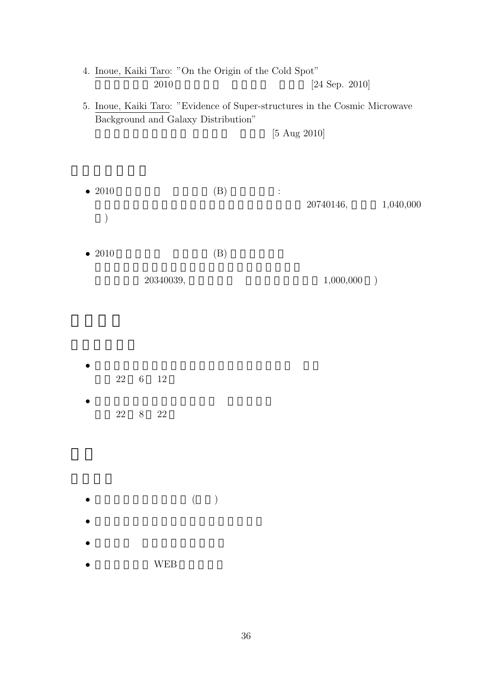| 4. Inoue, Kaiki Taro: "On the Origin of the Cold Spot" |                  | $2010\,$     |                  |     |  |                                                                                                        | [ $24$ Sep. $2010$ ] |           |  |
|--------------------------------------------------------|------------------|--------------|------------------|-----|--|--------------------------------------------------------------------------------------------------------|----------------------|-----------|--|
| Background and Galaxy Distribution"                    |                  |              |                  |     |  | 5. Inoue, Kaiki Taro: "Evidence of Super-structures in the Cosmic Microwave<br>$[5 \text{ Aug } 2010]$ |                      |           |  |
| $\bullet\ 2010$<br>$\left( \right)$                    |                  |              |                  | (B) |  | $\ddot{\cdot}$                                                                                         | 20740146,            | 1,040,000 |  |
| $\bullet$ 2010                                         |                  |              |                  | (B) |  |                                                                                                        |                      |           |  |
|                                                        |                  |              | 20340039,        |     |  | 1,000,000<br>$\big)$                                                                                   |                      |           |  |
| $22\,$<br>$22\,$                                       | $\,6\,$<br>$8\,$ | 12<br>$22\,$ |                  |     |  |                                                                                                        |                      |           |  |
|                                                        |                  |              | $(\hspace{7mm})$ |     |  |                                                                                                        |                      |           |  |

 $\bullet$  WEB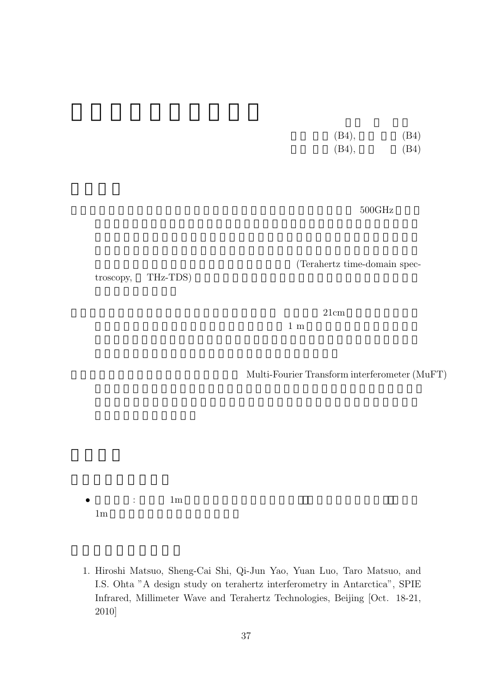| (B4), | (B4) |
|-------|------|
| (B4), | (B4) |

 $500\rm GHz$ 

(Terahertz time-domain spec-

 $21cm$ 

 $1 \text{ m}$ 

Multi-Fourier Transform interferometer (MuFT)

•  $\hspace{1cm} \hspace{1cm} 1$ m  $\hspace{1cm}$  $1<sub>m</sub>$ 

troscopy, THz-TDS)

1. Hiroshi Matsuo, Sheng-Cai Shi, Qi-Jun Yao, Yuan Luo, Taro Matsuo, and I.S. Ohta "A design study on terahertz interferometry in Antarctica", SPIE Infrared, Millimeter Wave and Terahertz Technologies, Beijing [Oct. 18-21, 2010]

37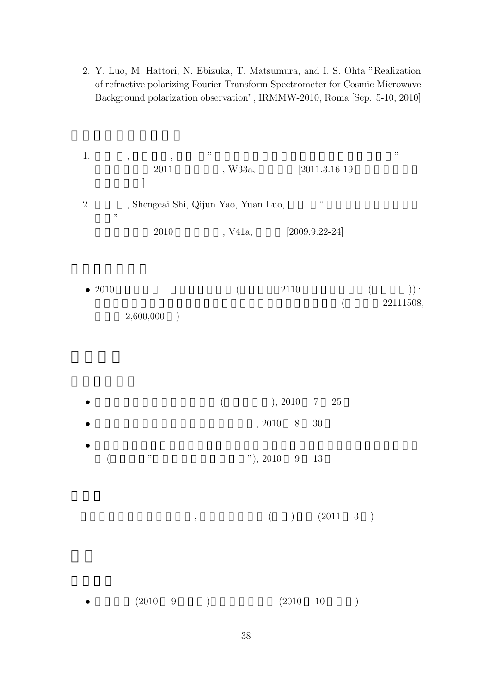- 2. Y. Luo, M. Hattori, N. Ebizuka, T. Matsumura, and I. S. Ohta "Realization of refractive polarizing Fourier Transform Spectrometer for Cosmic Microwave Background polarization observation", IRMMW-2010, Roma [Sep. 5-10, 2010]
- 1.  $\cdots$  ,  $\cdots$  $2011$  , W33a,  $[2011.3.16-19]$  $\Big]$ 2.  $\blacksquare$ , Shengcai Shi, Qijun Yao, Yuan Luo,  $\blacksquare$ 提案"  $2010$ , V41a,  $[2009.9.22-24]$ • 2010 ( 2110 ( )):  $(22111508,$  $2,600,000$  )  $($ , 2010 7 25  $, 2010 \quad 8 \quad 30$  $\bullet$  \* The state  $\bullet$  the state  $\bullet$  the state  $\bullet$  the state  $\bullet$  the state  $\bullet$ (\* ), 2010 9 13 教員採用試験春季集中講座, 専門・理科実験 (物理) 担当 (2011 3 ) •  $(2010 \t 9)$   $(2010 \t 10)$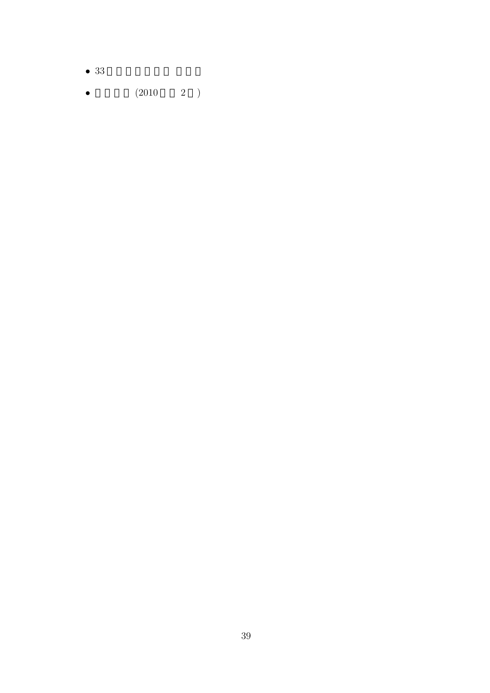- $33$
- $(2010 \t 2)$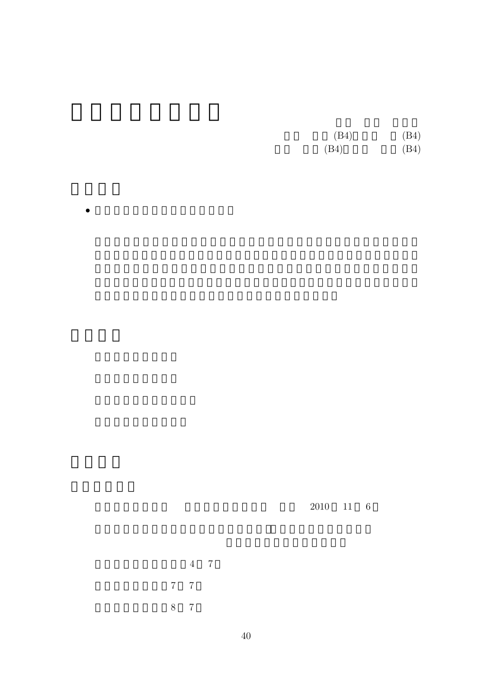| (B4) | (B4) |
|------|------|
| (B4) | (B4) |

 $\begin{array}{ccc} 2010 & 11 & 6 \end{array}$ 

「水産資源と水産業」4 7 「沖縄戦と基地」7 7

「沖縄戦と基地」8 7

 $\bullet$